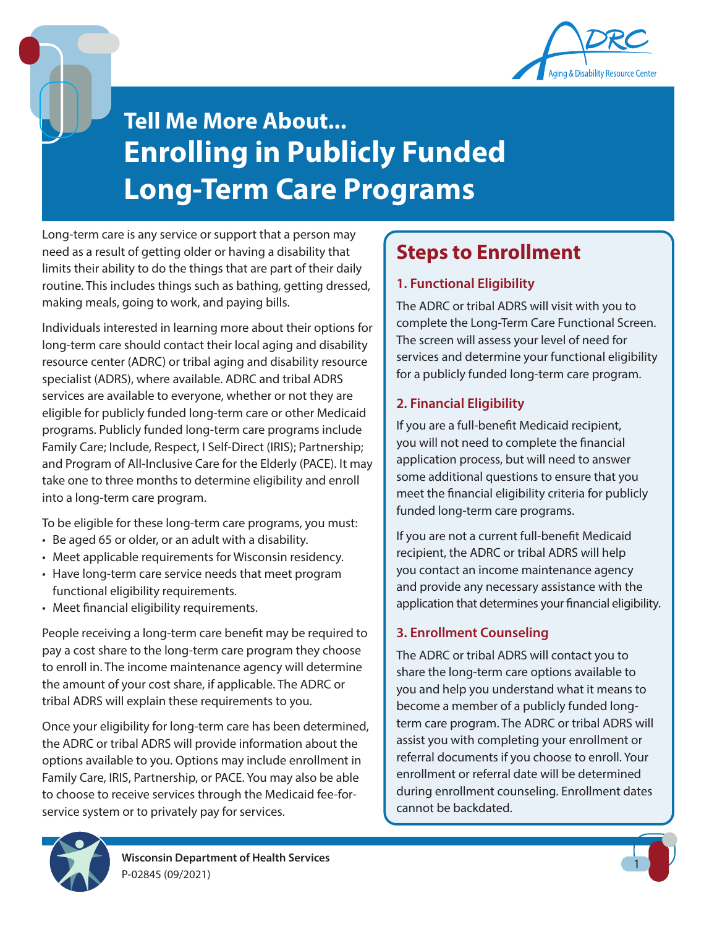

# **Enrolling in Publicly Funded Long-Term Care Programs Tell Me More About...**

Long-term care is any service or support that a person may need as a result of getting older or having a disability that limits their ability to do the things that are part of their daily routine. This includes things such as bathing, getting dressed, making meals, going to work, and paying bills.

Individuals interested in learning more about their options for long-term care should contact their local aging and disability resource center (ADRC) or tribal aging and disability resource specialist (ADRS), where available. ADRC and tribal ADRS services are available to everyone, whether or not they are eligible for publicly funded long-term care or other Medicaid programs. Publicly funded long-term care programs include Family Care; Include, Respect, I Self-Direct (IRIS); Partnership; and Program of All-Inclusive Care for the Elderly (PACE). It may take one to three months to determine eligibility and enroll into a long-term care program.

To be eligible for these long-term care programs, you must:

- Be aged 65 or older, or an adult with a disability.
- Meet applicable requirements for Wisconsin residency.
- Have long-term care service needs that meet program functional eligibility requirements.
- Meet financial eligibility requirements.

People receiving a long-term care benefit may be required to pay a cost share to the long-term care program they choose to enroll in. The income maintenance agency will determine the amount of your cost share, if applicable. The ADRC or tribal ADRS will explain these requirements to you.

Once your eligibility for long-term care has been determined, the ADRC or tribal ADRS will provide information about the options available to you. Options may include enrollment in Family Care, IRIS, Partnership, or PACE. You may also be able to choose to receive services through the Medicaid fee-forservice system or to privately pay for services.

### **Steps to Enrollment**

### **1. Functional Eligibility**

The ADRC or tribal ADRS will visit with you to complete the Long-Term Care Functional Screen. The screen will assess your level of need for services and determine your functional eligibility for a publicly funded long-term care program.

### **2. Financial Eligibility**

If you are a full-benefit Medicaid recipient, you will not need to complete the financial application process, but will need to answer some additional questions to ensure that you meet the financial eligibility criteria for publicly funded long-term care programs.

If you are not a current full-benefit Medicaid recipient, the ADRC or tribal ADRS will help you contact an income maintenance agency and provide any necessary assistance with the application that determines your financial eligibility.

### **3. Enrollment Counseling**

The ADRC or tribal ADRS will contact you to share the long-term care options available to you and help you understand what it means to become a member of a publicly funded longterm care program. The ADRC or tribal ADRS will assist you with completing your enrollment or referral documents if you choose to enroll. Your enrollment or referral date will be determined during enrollment counseling. Enrollment dates cannot be backdated.

1